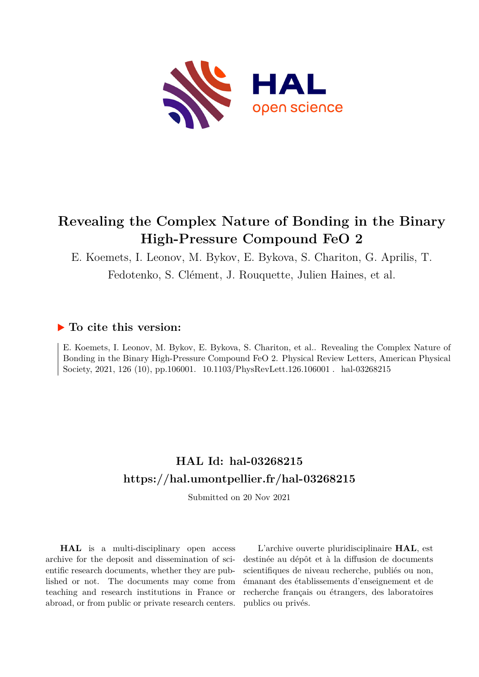

## **Revealing the Complex Nature of Bonding in the Binary High-Pressure Compound FeO 2**

E. Koemets, I. Leonov, M. Bykov, E. Bykova, S. Chariton, G. Aprilis, T.

Fedotenko, S. Clément, J. Rouquette, Julien Haines, et al.

## **To cite this version:**

E. Koemets, I. Leonov, M. Bykov, E. Bykova, S. Chariton, et al.. Revealing the Complex Nature of Bonding in the Binary High-Pressure Compound FeO 2. Physical Review Letters, American Physical Society, 2021, 126 (10), pp.106001. 10.1103/PhysRevLett.126.106001. hal-03268215

## **HAL Id: hal-03268215 <https://hal.umontpellier.fr/hal-03268215>**

Submitted on 20 Nov 2021

**HAL** is a multi-disciplinary open access archive for the deposit and dissemination of scientific research documents, whether they are published or not. The documents may come from teaching and research institutions in France or abroad, or from public or private research centers.

L'archive ouverte pluridisciplinaire **HAL**, est destinée au dépôt et à la diffusion de documents scientifiques de niveau recherche, publiés ou non, émanant des établissements d'enseignement et de recherche français ou étrangers, des laboratoires publics ou privés.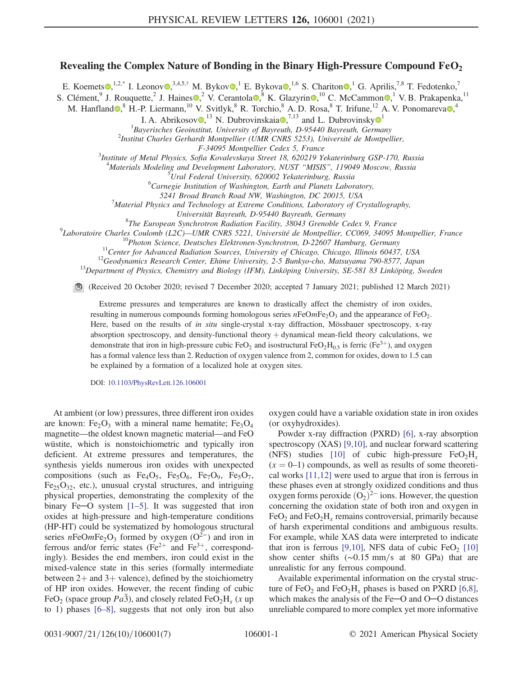## Revealing the Complex Nature of Bonding in the Binary High-Pressure Compound  $FeO<sub>2</sub>$

E. Koemets $\bullet$ ,<sup>1,2,\*</sup> I. Leonov $\bullet$ ,<sup>3,4,5,†</sup> M. Bykov $\bullet$ ,<sup>1</sup> E. Bykova $\bullet$ ,<sup>1,6</sup> S. Chariton $\bullet$ ,<sup>1</sup> G. Aprilis,<sup>7,8</sup> T. Fedotenko,<sup>7</sup>

S. Clément, <sup>9</sup> J. Rouquette, <sup>2</sup> J. Haines  $\Omega$ , <sup>2</sup> V. Cerantola  $\Omega$ , <sup>8</sup> K. Glazyrin  $\Omega$ , <sup>10</sup> C. McCammon  $\Omega$ , <sup>1</sup> V. B. Prakapenka, <sup>11</sup>

M. Hanfland  $\bullet$ , H.-P. Liermann,<sup>10</sup> V. Svitlyk, R. Torchio, A. D. Rosa, <sup>8</sup> T. Irifune,<sup>12</sup> A. V. Ponomareva  $\bullet$ ,<sup>4</sup>

I. A. Abrikosov $\bullet$ ,<sup>[1](https://orcid.org/0000-0002-3717-7585)3</sup> N. Dubrovinskaia $\bullet$ ,<sup>7,13</sup> and L. Dubrovinsky $\bullet$ <sup>1</sup>

<sup>1</sup>Bayerisches Geoinstitut, University of Bayreuth, D-95440 Bayreuth, Germany<br><sup>2</sup>Institut Charles Carbardt Montpellier (UMP CNPS 5253), Université de Montpel

 $^{2}$ Institut Charles Gerhardt Montpellier (UMR CNRS 5253), Université de Montpellier,

F-34095 Montpellier Cedex 5, France<br><sup>3</sup>Institute of Metal Physics, Sofia Kovalevskaya Street 18, 620219 Yekaterinburg GSP-170, Russia

<sup>4</sup> Materials Modeling and Development Laboratory, NUST "MISIS", 119049 Moscow, Russia

<sup>5</sup>Ural Federal University, 620002 Yekaterinburg, Russia

 ${}^{6}$ Carnegie Institution of Washington, Earth and Planets Laboratory,

5241 Broad Branch Road NW, Washington, DC 20015, USA

Material Physics and Technology at Extreme Conditions, Laboratory of Crystallography,

Universität Bayreuth, D-95440 Bayreuth, Germany<br><sup>8</sup>The European Synchrotron Badiation Eacility, 38043 Grenoble C

<sup>8</sup>The European Synchrotron Radiation Facility, 38043 Grenoble Cedex 9, France<br><sup>9</sup>Laboratoire Charles Coulomb (L2C) - UMP CNPS 5221 - Université de Montpellier, CC060, 34005

<sup>9</sup>Laboratoire Charles Coulomb (L2C)—UMR CNRS 5221, Université de Montpellier, CC069, 34095 Montpellier, France<br><sup>10</sup>Photon Science, Deutsches Elektronen-Synchrotron, D-22607 Hamburg, Germany<br><sup>11</sup>Center for Advanced Radiat

(Received 20 October 2020; revised 7 December 2020; accepted 7 January 2021; published 12 March 2021)

Extreme pressures and temperatures are known to drastically affect the chemistry of iron oxides, resulting in numerous compounds forming homologous series  $nFeOmFe<sub>2</sub>O<sub>3</sub>$  and the appearance of FeO<sub>2</sub>. Here, based on the results of in situ single-crystal x-ray diffraction, Mössbauer spectroscopy, x-ray absorption spectroscopy, and density-functional theory  $+$  dynamical mean-field theory calculations, we demonstrate that iron in high-pressure cubic FeO<sub>2</sub> and isostructural FeO<sub>2</sub>H<sub>0.5</sub> is ferric (Fe<sup>3+</sup>), and oxygen has a formal valence less than 2. Reduction of oxygen valence from 2, common for oxides, down to 1.5 can be explained by a formation of a localized hole at oxygen sites.

DOI: [10.1103/PhysRevLett.126.106001](https://doi.org/10.1103/PhysRevLett.126.106001)

At ambient (or low) pressures, three different iron oxides are known: Fe<sub>2</sub>O<sub>3</sub> with a mineral name hematite; Fe<sub>3</sub>O<sub>4</sub> magnetite—the oldest known magnetic material—and FeO wüstite, which is nonstoichiometric and typically iron deficient. At extreme pressures and temperatures, the synthesis yields numerous iron oxides with unexpected compositions (such as  $Fe<sub>4</sub>O<sub>5</sub>$ ,  $Fe<sub>5</sub>O<sub>6</sub>$ ,  $Fe<sub>7</sub>O<sub>9</sub>$ ,  $Fe<sub>5</sub>O<sub>7</sub>$ ,  $Fe_{25}O_{32}$ , etc.), unusual crystal structures, and intriguing physical properties, demonstrating the complexity of the binary Fe─O system [1–5]. It was suggested that iron oxides at high-pressure and high-temperature conditions (HP-HT) could be systematized by homologous structural series nFeOmFe<sub>2</sub>O<sub>3</sub> formed by oxygen  $(O^{2-})$  and iron in ferrous and/or ferric states (Fe<sup>2+</sup> and Fe<sup>3+</sup>, correspondingly). Besides the end members, iron could exist in the mixed-valence state in this series (formally intermediate between  $2+$  and  $3+$  valence), defined by the stoichiometry of HP iron oxides. However, the recent finding of cubic FeO<sub>2</sub> (space group *Pa3*), and closely related FeO<sub>2</sub>H<sub>x</sub> (x up) to 1) phases [6–8], suggests that not only iron but also oxygen could have a variable oxidation state in iron oxides (or oxyhydroxides).

Powder x-ray diffraction (PXRD) [6], x-ray absorption spectroscopy (XAS) [9,10], and nuclear forward scattering (NFS) studies [10] of cubic high-pressure  $FeO<sub>2</sub>H<sub>x</sub>$  $(x = 0-1)$  compounds, as well as results of some theoretical works [11,12] were used to argue that iron is ferrous in these phases even at strongly oxidized conditions and thus oxygen forms peroxide  $(O_2)^{2-}$  ions. However, the question concerning the oxidation state of both iron and oxygen in FeO<sub>2</sub> and FeO<sub>2</sub>H<sub>x</sub> remains controversial, primarily because of harsh experimental conditions and ambiguous results. For example, while XAS data were interpreted to indicate that iron is ferrous [9,10], NFS data of cubic  $FeO<sub>2</sub>$  [10] show center shifts  $(\sim 0.15 \text{ mm/s}$  at 80 GPa) that are unrealistic for any ferrous compound.

Available experimental information on the crystal structure of FeO<sub>2</sub> and FeO<sub>2</sub>H<sub>x</sub> phases is based on PXRD [6,8], which makes the analysis of the Fe─O and O─O distances unreliable compared to more complex yet more informative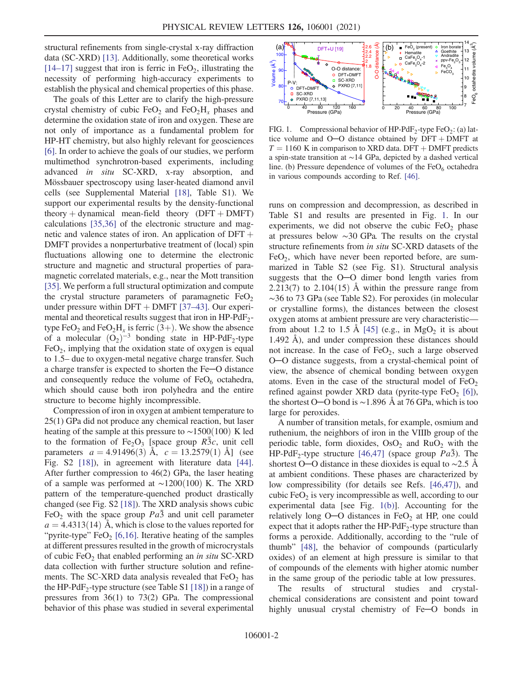structural refinements from single-crystal x-ray diffraction data (SC-XRD) [13]. Additionally, some theoretical works  $[14–17]$  suggest that iron is ferric in FeO<sub>2</sub>, illustrating the necessity of performing high-accuracy experiments to establish the physical and chemical properties of this phase.

The goals of this Letter are to clarify the high-pressure crystal chemistry of cubic  $FeO<sub>2</sub>$  and  $FeO<sub>2</sub>H<sub>x</sub>$  phases and determine the oxidation state of iron and oxygen. These are not only of importance as a fundamental problem for HP-HT chemistry, but also highly relevant for geosciences [6]. In order to achieve the goals of our studies, we perform multimethod synchrotron-based experiments, including advanced in situ SC-XRD, x-ray absorption, and Mössbauer spectroscopy using laser-heated diamond anvil cells (see Supplemental Material [18], Table S1). We support our experimental results by the density-functional theory  $+$  dynamical mean-field theory (DFT  $+$  DMFT) calculations [35,36] of the electronic structure and magnetic and valence states of iron. An application of  $DFT +$ DMFT provides a nonperturbative treatment of (local) spin fluctuations allowing one to determine the electronic structure and magnetic and structural properties of paramagnetic correlated materials, e.g., near the Mott transition [35]. We perform a full structural optimization and compute the crystal structure parameters of paramagnetic  $FeO<sub>2</sub>$ under pressure within  $DFT + DMFT$  [37–43]. Our experimental and theoretical results suggest that iron in  $HP-PdF_2$ type FeO<sub>2</sub> and FeO<sub>2</sub>H<sub>x</sub> is ferric (3+). We show the absence of a molecular  $(\overline{O_2})^{-3}$  bonding state in HP-PdF<sub>2</sub>-type  $FeO<sub>2</sub>$ , implying that the oxidation state of oxygen is equal to 1.5– due to oxygen-metal negative charge transfer. Such a charge transfer is expected to shorten the Fe─O distance and consequently reduce the volume of  $FeO<sub>6</sub>$  octahedra, which should cause both iron polyhedra and the entire structure to become highly incompressible.

Compression of iron in oxygen at ambient temperature to 25(1) GPa did not produce any chemical reaction, but laser heating of the sample at this pressure to  $\sim$ 1500(100) K led to the formation of  $Fe<sub>2</sub>O<sub>3</sub>$  [space group R3c, unit cell parameters  $a = 4.91496(3)$  Å,  $c = 13.2579(1)$  Å] (see Fig. S2 [18]), in agreement with literature data [44]. After further compression to 46(2) GPa, the laser heating of a sample was performed at  $~\sim$ 1200(100) K. The XRD pattern of the temperature-quenched product drastically changed (see Fig. S2 [18]). The XRD analysis shows cubic FeO<sub>2</sub> with the space group  $Pa\bar{3}$  and unit cell parameter  $a = 4.4313(14)$  Å, which is close to the values reported for "pyrite-type"  $FeO<sub>2</sub>$  [6,16]. Iterative heating of the samples at different pressures resulted in the growth of microcrystals of cubic  $FeO<sub>2</sub>$  that enabled performing an *in situ* SC-XRD data collection with further structure solution and refinements. The SC-XRD data analysis revealed that  $FeO<sub>2</sub>$  has the HP-PdF<sub>2</sub>-type structure (see Table S1 [18]) in a range of pressures from 36(1) to 73(2) GPa. The compressional behavior of this phase was studied in several experimental



FIG. 1. Compressional behavior of HP-PdF<sub>2</sub>-type FeO<sub>2</sub>: (a) lattice volume and  $O-O$  distance obtained by  $DFT + DMFT$  at  $T = 1160$  K in comparison to XRD data. DFT + DMFT predicts a spin-state transition at ∼14 GPa, depicted by a dashed vertical line. (b) Pressure dependence of volumes of the  $FeO<sub>6</sub>$  octahedra in various compounds according to Ref. [46].

runs on compression and decompression, as described in Table S1 and results are presented in Fig. 1. In our experiments, we did not observe the cubic  $FeO<sub>2</sub>$  phase at pressures below ∼30 GPa. The results on the crystal structure refinements from in situ SC-XRD datasets of the  $FeO<sub>2</sub>$ , which have never been reported before, are summarized in Table S2 (see Fig. S1). Structural analysis suggests that the O─O dimer bond length varies from 2.213(7) to  $2.104(15)$  Å within the pressure range from ∼36 to 73 GPa (see Table S2). For peroxides (in molecular or crystalline forms), the distances between the closest oxygen atoms at ambient pressure are very characteristic from about 1.2 to 1.5 Å  $[45]$  (e.g., in MgO<sub>2</sub> it is about 1.492 Å), and under compression these distances should not increase. In the case of  $FeO<sub>2</sub>$ , such a large observed O─O distance suggests, from a crystal-chemical point of view, the absence of chemical bonding between oxygen atoms. Even in the case of the structural model of  $FeO<sub>2</sub>$ refined against powder XRD data (pyrite-type FeO<sub>2</sub> [6]), the shortest O─O bond is ∼1.896 Å at 76 GPa, which is too large for peroxides.

A number of transition metals, for example, osmium and ruthenium, the neighbors of iron in the VIIIb group of the periodic table, form dioxides,  $OsO<sub>2</sub>$  and  $RuO<sub>2</sub>$  with the HP-PdF<sub>2</sub>-type structure [46,47] (space group  $Pa\overline{3}$ ). The shortest O—O distance in these dioxides is equal to ~2.5 Å at ambient conditions. These phases are characterized by low compressibility (for details see Refs. [46,47]), and cubic  $FeO<sub>2</sub>$  is very incompressible as well, according to our experimental data [see Fig. 1(b)]. Accounting for the relatively long  $O-O$  distances in  $FeO<sub>2</sub>$  at HP, one could expect that it adopts rather the  $HP-PdF_2$ -type structure than forms a peroxide. Additionally, according to the "rule of thumb" [48], the behavior of compounds (particularly oxides) of an element at high pressure is similar to that of compounds of the elements with higher atomic number in the same group of the periodic table at low pressures.

The results of structural studies and crystalchemical considerations are consistent and point toward highly unusual crystal chemistry of Fe-O bonds in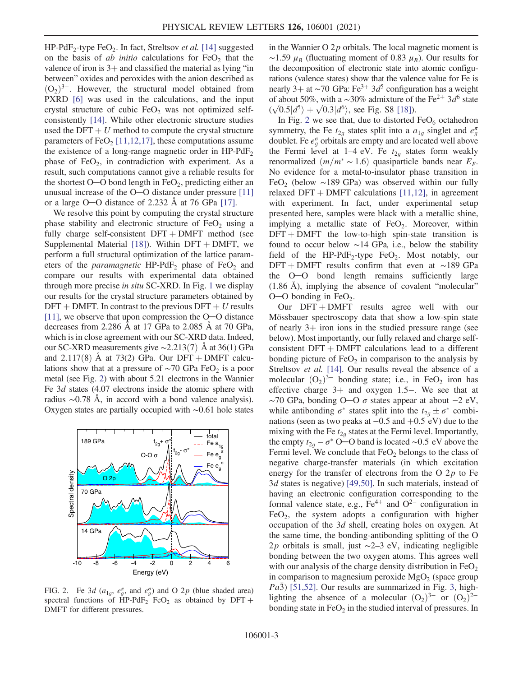$HP-PdF_2$ -type  $FeO_2$ . In fact, Streltsov *et al.* [14] suggested on the basis of *ab initio* calculations for  $FeO<sub>2</sub>$  that the valence of iron is  $3+$  and classified the material as lying "in between" oxides and peroxides with the anion described as  $(O_2)^{3-}$ . However, the structural model obtained from PXRD [6] was used in the calculations, and the input crystal structure of cubic  $FeO<sub>2</sub>$  was not optimized selfconsistently [14]. While other electronic structure studies used the DFT  $+ U$  method to compute the crystal structure parameters of  $FeO<sub>2</sub>$  [11,12,17], these computations assume the existence of a long-range magnetic order in  $HP-PdF_2$ phase of  $FeO<sub>2</sub>$ , in contradiction with experiment. As a result, such computations cannot give a reliable results for the shortest  $O-O$  bond length in  $FeO<sub>2</sub>$ , predicting either an unusual increase of the O─O distance under pressure [11] or a large O─O distance of 2.232 Å at 76 GPa [17].

We resolve this point by computing the crystal structure phase stability and electronic structure of  $FeO<sub>2</sub>$  using a fully charge self-consistent  $DFT + DMFT$  method (see Supplemental Material [18]). Within  $DFT + DMFT$ , we perform a full structural optimization of the lattice parameters of the *paramagnetic*  $HP-PdF_2$  phase of  $FeO_2$  and compare our results with experimental data obtained through more precise in situ SC-XRD. In Fig. 1 we display our results for the crystal structure parameters obtained by  $DFT + DMFT$ . In contrast to the previous  $DFT + U$  results [11], we observe that upon compression the O—O distance decreases from 2.286 Å at 17 GPa to 2.085 Å at 70 GPa, which is in close agreement with our SC-XRD data. Indeed, our SC-XRD measurements give  $\sim$ 2.213(7) Å at 36(1) GPa and 2.117(8) Å at 73(2) GPa. Our DFT + DMFT calculations show that at a pressure of  $\sim$ 70 GPa FeO<sub>2</sub> is a poor metal (see Fig. 2) with about 5.21 electrons in the Wannier Fe 3d states (4.07 electrons inside the atomic sphere with radius ∼0.78 Å, in accord with a bond valence analysis). Oxygen states are partially occupied with ∼0.61 hole states



FIG. 2. Fe 3d ( $a_{1g}$ ,  $e_g^{\pi}$ , and  $e_g^{\sigma}$ ) and O 2p (blue shaded area) spectral functions of HP-PdF<sub>2</sub> FeO<sub>2</sub> as obtained by DFT + DMFT for different pressures.

in the Wannier O  $2p$  orbitals. The local magnetic moment is ~1.59  $\mu_B$  (fluctuating moment of 0.83  $\mu_B$ ). Our results for the decomposition of electronic state into atomic configurations (valence states) show that the valence value for Fe is nearly 3+ at ∼70 GPa: Fe<sup>3+</sup> 3d<sup>5</sup> configuration has a weight of about 50%, with a ~30% admixture of the Fe<sup>2+</sup> 3d<sup>6</sup> state of about 50%, with a ~30% admixture of t<br>  $(\sqrt{0.5} \vert d^5\rangle + \sqrt{0.3} \vert d^6\rangle$ , see Fig. S8 [18]).

In Fig. 2 we see that, due to distorted  $FeO<sub>6</sub>$  octahedron symmetry, the Fe  $t_{2g}$  states split into a  $a_{1g}$  singlet and  $e_g^{\pi}$ doublet. Fe  $e^{\sigma}_{g}$  orbitals are empty and are located well above the Fermi level at 1–4 eV. Fe  $t_{2q}$  states form weakly renormalized  $(m/m^* \sim 1.6)$  quasiparticle bands near  $E_F$ . No evidence for a metal-to-insulator phase transition in FeO<sub>2</sub> (below ~189 GPa) was observed within our fully relaxed DFT + DMFT calculations  $[11,12]$ , in agreement with experiment. In fact, under experimental setup presented here, samples were black with a metallic shine, implying a metallic state of  $FeO<sub>2</sub>$ . Moreover, within  $DFT + DMFT$  the low-to-high spin-state transition is found to occur below ∼14 GPa, i.e., below the stability field of the HP-PdF<sub>2</sub>-type FeO<sub>2</sub>. Most notably, our DFT + DMFT results confirm that even at ∼189 GPa the O─O bond length remains sufficiently large (1.86 Å), implying the absence of covalent "molecular"  $O-O$  bonding in FeO<sub>2</sub>.

Our  $DFT + DMFT$  results agree well with our Mössbauer spectroscopy data that show a low-spin state of nearly  $3+$  iron ions in the studied pressure range (see below). Most importantly, our fully relaxed and charge selfconsistent  $DFT + DMFT$  calculations lead to a different bonding picture of  $FeO<sub>2</sub>$  in comparison to the analysis by Streltsov *et al.* [14]. Our results reveal the absence of a molecular  $(O_2)^{3-}$  bonding state; i.e., in FeO<sub>2</sub> iron has effective charge  $3+$  and oxygen 1.5−. We see that at  $\sim$ 70 GPa, bonding O $-$ O  $\sigma$  states appear at about  $-2$  eV, while antibonding  $\sigma^*$  states split into the  $t_{2g} \pm \sigma^*$  combinations (seen as two peaks at  $-0.5$  and  $+0.5$  eV) due to the mixing with the Fe  $t_{2q}$  states at the Fermi level. Importantly, the empty  $t_{2g} - \sigma^*$  O—O band is located ~0.5 eV above the Fermi level. We conclude that  $FeO<sub>2</sub>$  belongs to the class of negative charge-transfer materials (in which excitation energy for the transfer of electrons from the O  $2p$  to Fe 3d states is negative) [49,50]. In such materials, instead of having an electronic configuration corresponding to the formal valence state, e.g.,  $Fe^{4+}$  and  $O^{2-}$  configuration in  $FeO<sub>2</sub>$ , the system adopts a configuration with higher occupation of the 3d shell, creating holes on oxygen. At the same time, the bonding-antibonding splitting of the O 2p orbitals is small, just ∼2–3 eV, indicating negligible bonding between the two oxygen atoms. This agrees well with our analysis of the charge density distribution in  $FeO<sub>2</sub>$ in comparison to magnesium peroxide  $MgO<sub>2</sub>$  (space group  $Pa\bar{3}$ ) [51,52]. Our results are summarized in Fig. 3, highlighting the absence of a molecular  $(O_2)^{3-}$  or  $(O_2)^{2-}$ bonding state in  $FeO<sub>2</sub>$  in the studied interval of pressures. In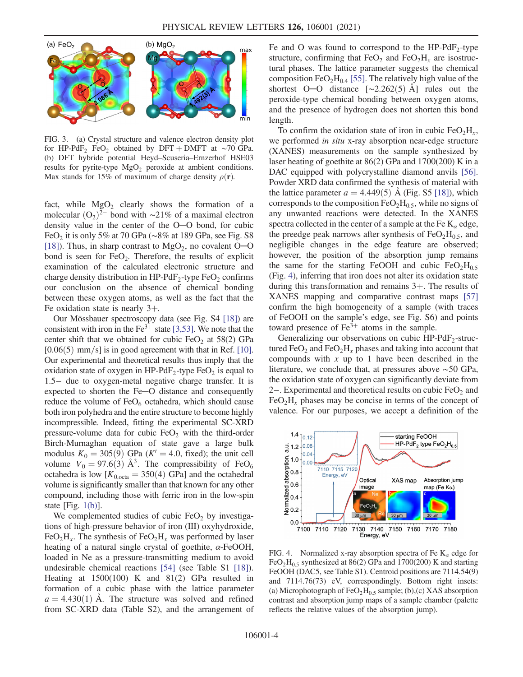

FIG. 3. (a) Crystal structure and valence electron density plot for HP-PdF<sub>2</sub> FeO<sub>2</sub> obtained by DFT + DMFT at ∼70 GPa. (b) DFT hybride potential Heyd–Scuseria–Ernzerhof HSE03 results for pyrite-type  $MgO<sub>2</sub>$  peroxide at ambient conditions. Max stands for 15% of maximum of charge density  $\rho(\mathbf{r})$ .

fact, while  $MgO<sub>2</sub>$  clearly shows the formation of a molecular  $(O_2)^{2-}$  bond with ~21% of a maximal electron density value in the center of the O─O bond, for cubic FeO<sub>2</sub> it is only 5% at 70 GPa (∼8% at 189 GPa, see Fig. S8 [18]). Thus, in sharp contrast to  $MgO<sub>2</sub>$ , no covalent O-O bond is seen for  $FeO<sub>2</sub>$ . Therefore, the results of explicit examination of the calculated electronic structure and charge density distribution in  $HP-PdF_2$ -type  $FeO_2$  confirms our conclusion on the absence of chemical bonding between these oxygen atoms, as well as the fact that the Fe oxidation state is nearly  $3+$ .

Our Mössbauer spectroscopy data (see Fig. S4 [18]) are consistent with iron in the  $Fe<sup>3+</sup>$  state [3,53]. We note that the center shift that we obtained for cubic  $FeO<sub>2</sub>$  at 58(2) GPa  $[0.06(5)$  mm/s] is in good agreement with that in Ref. [10]. Our experimental and theoretical results thus imply that the oxidation state of oxygen in  $HP-PdF_2$ -type  $FeO_2$  is equal to 1.5− due to oxygen-metal negative charge transfer. It is expected to shorten the Fe─O distance and consequently reduce the volume of  $FeO<sub>6</sub>$  octahedra, which should cause both iron polyhedra and the entire structure to become highly incompressible. Indeed, fitting the experimental SC-XRD pressure-volume data for cubic  $FeO<sub>2</sub>$  with the third-order Birch-Murnaghan equation of state gave a large bulk modulus  $K_0 = 305(9)$  GPa ( $K' = 4.0$ , fixed); the unit cell volume  $V_0 = 97.6(3)$  Å<sup>3</sup>. The compressibility of FeO<sub>6</sub> octahedra is low  $[K_{0,\text{octa}} = 350(4) \text{ GPa}]$  and the octahedral volume is significantly smaller than that known for any other compound, including those with ferric iron in the low-spin state  $[Fig. 1(b)].$ 

We complemented studies of cubic  $FeO<sub>2</sub>$  by investigations of high-pressure behavior of iron (III) oxyhydroxide,  $FeO<sub>2</sub>H<sub>x</sub>$ . The synthesis of  $FeO<sub>2</sub>H<sub>x</sub>$  was performed by laser heating of a natural single crystal of goethite,  $\alpha$ -FeOOH, loaded in Ne as a pressure-transmitting medium to avoid undesirable chemical reactions [54] (see Table S1 [18]). Heating at 1500(100) K and 81(2) GPa resulted in formation of a cubic phase with the lattice parameter  $a = 4.430(1)$  Å. The structure was solved and refined from SC-XRD data (Table S2), and the arrangement of Fe and O was found to correspond to the  $HP-PdF_2$ -type structure, confirming that  $FeO<sub>2</sub>$  and  $FeO<sub>2</sub>H<sub>x</sub>$  are isostructural phases. The lattice parameter suggests the chemical composition FeO<sub>2</sub>H<sub>0.4</sub> [55]. The relatively high value of the shortest O—O distance  $[\sim 2.262(5)$  Å] rules out the peroxide-type chemical bonding between oxygen atoms, and the presence of hydrogen does not shorten this bond length.

To confirm the oxidation state of iron in cubic  $FeO<sub>2</sub>H<sub>r</sub>$ , we performed in situ x-ray absorption near-edge structure (XANES) measurements on the sample synthesized by laser heating of goethite at 86(2) GPa and 1700(200) K in a DAC equipped with polycrystalline diamond anvils [56]. Powder XRD data confirmed the synthesis of material with the lattice parameter  $a = 4.449(5)$  Å (Fig. S5 [18]), which corresponds to the composition  $FeO<sub>2</sub>H<sub>0.5</sub>$ , while no signs of any unwanted reactions were detected. In the XANES spectra collected in the center of a sample at the Fe  $K_{\alpha}$  edge, the preedge peak narrows after synthesis of  $FeO<sub>2</sub>H<sub>0.5</sub>$ , and negligible changes in the edge feature are observed; however, the position of the absorption jump remains the same for the starting FeOOH and cubic  $FeO<sub>2</sub>H<sub>0.5</sub>$ (Fig. 4), inferring that iron does not alter its oxidation state during this transformation and remains  $3+$ . The results of XANES mapping and comparative contrast maps [57] confirm the high homogeneity of a sample (with traces of FeOOH on the sample's edge, see Fig. S6) and points toward presence of  $Fe<sup>3+</sup>$  atoms in the sample.

Generalizing our observations on cubic  $HP-PdF_2-struc$ tured FeO<sub>2</sub> and FeO<sub>2</sub>H<sub>x</sub> phases and taking into account that compounds with  $x$  up to 1 have been described in the literature, we conclude that, at pressures above ∼50 GPa, the oxidation state of oxygen can significantly deviate from 2−. Experimental and theoretical results on cubic FeO<sub>2</sub> and  $FeO<sub>2</sub>H<sub>r</sub>$  phases may be concise in terms of the concept of valence. For our purposes, we accept a definition of the



FIG. 4. Normalized x-ray absorption spectra of Fe  $K_{\alpha}$  edge for FeO<sub>2</sub>H<sub>0.5</sub> synthesized at 86(2) GPa and 1700(200) K and starting FeOOH (DAC5, see Table S1). Centroid positions are 7114.54(9) and 7114.76(73) eV, correspondingly. Bottom right insets: (a) Microphotograph of FeO<sub>2</sub>H<sub>0.5</sub> sample; (b),(c) XAS absorption contrast and absorption jump maps of a sample chamber (palette reflects the relative values of the absorption jump).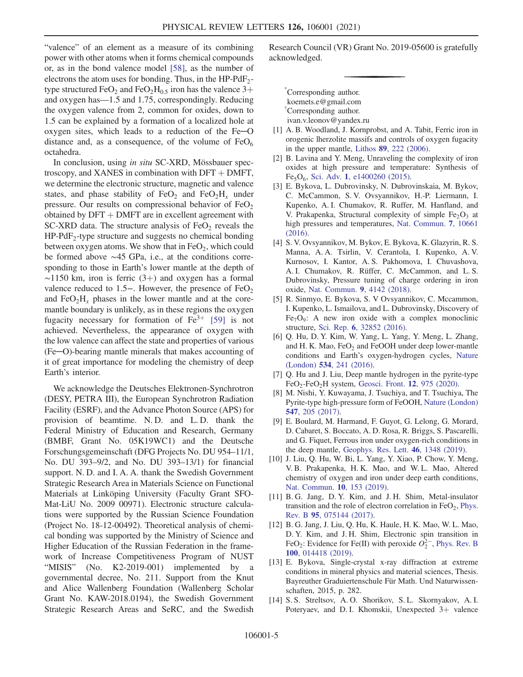"valence" of an element as a measure of its combining power with other atoms when it forms chemical compounds or, as in the bond valence model [58], as the number of electrons the atom uses for bonding. Thus, in the  $HP-PdF_2$ type structured FeO<sub>2</sub> and FeO<sub>2</sub>H<sub>0.5</sub> iron has the valence  $3+$ and oxygen has—1.5 and 1.75, correspondingly. Reducing the oxygen valence from 2, common for oxides, down to 1.5 can be explained by a formation of a localized hole at oxygen sites, which leads to a reduction of the Fe─O distance and, as a consequence, of the volume of  $FeO<sub>6</sub>$ octahedra.

In conclusion, using in situ SC-XRD, Mössbauer spectroscopy, and XANES in combination with  $DFT + DMFT$ , we determine the electronic structure, magnetic and valence states, and phase stability of  $FeO<sub>2</sub>$  and  $FeO<sub>2</sub>H<sub>x</sub>$  under pressure. Our results on compressional behavior of  $FeO<sub>2</sub>$ obtained by  $DFT + DMFT$  are in excellent agreement with SC-XRD data. The structure analysis of  $FeO<sub>2</sub>$  reveals the  $HP-PdF<sub>2</sub>$ -type structure and suggests no chemical bonding between oxygen atoms. We show that in  $FeO<sub>2</sub>$ , which could be formed above ∼45 GPa, i.e., at the conditions corresponding to those in Earth's lower mantle at the depth of  $\sim$ 1150 km, iron is ferric (3+) and oxygen has a formal valence reduced to 1.5−. However, the presence of  $FeO<sub>2</sub>$ and  $FeO<sub>2</sub>H<sub>x</sub>$  phases in the lower mantle and at the coremantle boundary is unlikely, as in these regions the oxygen fugacity necessary for formation of  $Fe^{3+}$  [59] is not achieved. Nevertheless, the appearance of oxygen with the low valence can affect the state and properties of various (Fe─O)-bearing mantle minerals that makes accounting of it of great importance for modeling the chemistry of deep Earth's interior.

We acknowledge the Deutsches Elektronen-Synchrotron (DESY, PETRA III), the European Synchrotron Radiation Facility (ESRF), and the Advance Photon Source (APS) for provision of beamtime. N. D. and L. D. thank the Federal Ministry of Education and Research, Germany (BMBF, Grant No. 05K19WC1) and the Deutsche Forschungsgemeinschaft (DFG Projects No. DU 954–11/1, No. DU 393–9/2, and No. DU 393–13/1) for financial support. N. D. and I. A. A. thank the Swedish Government Strategic Research Area in Materials Science on Functional Materials at Linköping University (Faculty Grant SFO-Mat-LiU No. 2009 00971). Electronic structure calculations were supported by the Russian Science Foundation (Project No. 18-12-00492). Theoretical analysis of chemical bonding was supported by the Ministry of Science and Higher Education of the Russian Federation in the framework of Increase Competitiveness Program of NUST "MISIS" (No. K2-2019-001) implemented by a governmental decree, No. 211. Support from the Knut and Alice Wallenberg Foundation (Wallenberg Scholar Grant No. KAW-2018.0194), the Swedish Government Strategic Research Areas and SeRC, and the Swedish Research Council (VR) Grant No. 2019-05600 is gratefully acknowledged.

\* Corresponding author. koemets.e@gmail.com † Corresponding author. ivan.v.leonov@yandex.ru

- [1] A. B. Woodland, J. Kornprobst, and A. Tabit, Ferric iron in orogenic lherzolite massifs and controls of oxygen fugacity in the upper mantle, Lithos 89[, 222 \(2006\).](https://doi.org/10.1016/j.lithos.2005.12.014)
- [2] B. Lavina and Y. Meng, Unraveling the complexity of iron oxides at high pressure and temperature: Synthesis of Fe<sub>5</sub>O<sub>6</sub>, Sci. Adv. 1[, e1400260 \(2015\).](https://doi.org/10.1126/sciadv.1400260)
- [3] E. Bykova, L. Dubrovinsky, N. Dubrovinskaia, M. Bykov, C. McCammon, S. V. Ovsyannikov, H.-P. Liermann, I. Kupenko, A. I. Chumakov, R. Ruffer, M. Hanfland, and V. Prakapenka, Structural complexity of simple  $Fe<sub>2</sub>O<sub>3</sub>$  at high pressures and temperatures, [Nat. Commun.](https://doi.org/10.1038/ncomms10661) 7, 10661 [\(2016\).](https://doi.org/10.1038/ncomms10661)
- [4] S. V. Ovsyannikov, M. Bykov, E. Bykova, K. Glazyrin, R. S. Manna, A. A. Tsirlin, V. Cerantola, I. Kupenko, A. V. Kurnosov, I. Kantor, A. S. Pakhomova, I. Chuvashova, A. I. Chumakov, R. Rüffer, C. McCammon, and L. S. Dubrovinsky, Pressure tuning of charge ordering in iron oxide, [Nat. Commun.](https://doi.org/10.1038/s41467-018-06457-x) 9, 4142 (2018).
- [5] R. Sinmyo, E. Bykova, S. V Ovsyannikov, C. Mccammon, I. Kupenko, L. Ismailova, and L. Dubrovinsky, Discovery of  $Fe<sub>7</sub>O<sub>9</sub>$ : A new iron oxide with a complex monoclinic structure, Sci. Rep. 6[, 32852 \(2016\).](https://doi.org/10.1038/srep32852)
- [6] Q. Hu, D. Y. Kim, W. Yang, L. Yang, Y. Meng, L. Zhang, and H. K. Mao,  $FeO<sub>2</sub>$  and  $FeOOH$  under deep lower-mantle conditions and Earth's oxygen-hydrogen cycles, [Nature](https://doi.org/10.1038/nature18018) (London) 534[, 241 \(2016\)](https://doi.org/10.1038/nature18018).
- [7] Q. Hu and J. Liu, Deep mantle hydrogen in the pyrite-type  $FeO<sub>2</sub>-FeO<sub>2</sub>H$  system, [Geosci. Front.](https://doi.org/10.1016/j.gsf.2020.04.006) 12, 975 (2020).
- [8] M. Nishi, Y. Kuwayama, J. Tsuchiya, and T. Tsuchiya, The Pyrite-type high-pressure form of FeOOH, [Nature \(London\)](https://doi.org/10.1038/nature22823) 547[, 205 \(2017\)](https://doi.org/10.1038/nature22823).
- [9] E. Boulard, M. Harmand, F. Guyot, G. Lelong, G. Morard, D. Cabaret, S. Boccato, A. D. Rosa, R. Briggs, S. Pascarelli, and G. Fiquet, Ferrous iron under oxygen-rich conditions in the deep mantle, [Geophys. Res. Lett.](https://doi.org/10.1029/2019GL081922) 46, 1348 (2019).
- [10] J. Liu, Q. Hu, W. Bi, L. Yang, Y. Xiao, P. Chow, Y. Meng, V. B. Prakapenka, H. K. Mao, and W. L. Mao, Altered chemistry of oxygen and iron under deep earth conditions, [Nat. Commun.](https://doi.org/10.1038/s41467-018-08071-3) 10, 153 (2019).
- [11] B. G. Jang, D. Y. Kim, and J. H. Shim, Metal-insulator transition and the role of electron correlation in  $FeO<sub>2</sub>$ , [Phys.](https://doi.org/10.1103/PhysRevB.95.075144) Rev. B 95[, 075144 \(2017\).](https://doi.org/10.1103/PhysRevB.95.075144)
- [12] B. G. Jang, J. Liu, Q. Hu, K. Haule, H. K. Mao, W. L. Mao, D. Y. Kim, and J. H. Shim, Electronic spin transition in FeO<sub>2</sub>: Evidence for Fe(II) with peroxide  $O_2^{2-}$ , [Phys. Rev. B](https://doi.org/10.1103/PhysRevB.100.014418) 100[, 014418 \(2019\).](https://doi.org/10.1103/PhysRevB.100.014418)
- [13] E. Bykova, Single-crystal x-ray diffraction at extreme conditions in mineral physics and material sciences, Thesis. Bayreuther Graduiertenschule Für Math. Und Naturwissenschaften, 2015, p. 282.
- [14] S. S. Streltsov, A. O. Shorikov, S. L. Skornyakov, A. I. Poteryaev, and D. I. Khomskii, Unexpected  $3+$  valence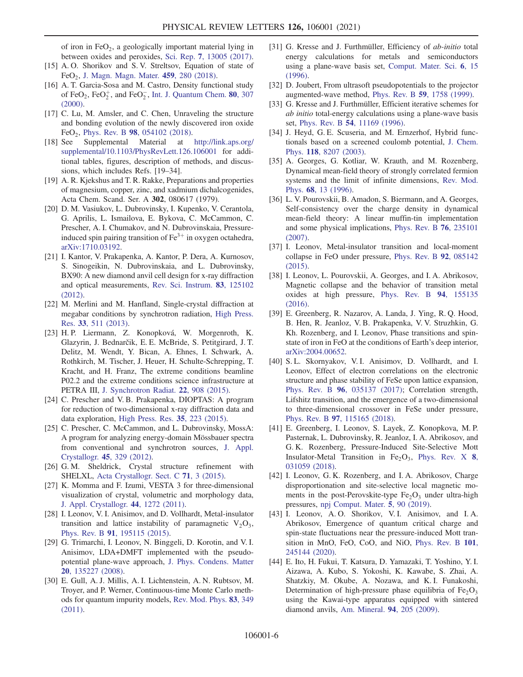of iron in  $FeO<sub>2</sub>$ , a geologically important material lying in between oxides and peroxides, Sci. Rep. 7[, 13005 \(2017\).](https://doi.org/10.1038/s41598-017-13312-4)

- [15] A. O. Shorikov and S. V. Streltsov, Equation of state of FeO<sub>2</sub>, [J. Magn. Magn. Mater.](https://doi.org/10.1016/j.jmmm.2017.10.061) **459**, 280 (2018).
- [16] A. T. Garcia-Sosa and M. Castro, Density functional study of FeO<sub>2</sub>, FeO $_2^+$ , and FeO $_2^-$ , [Int. J. Quantum Chem.](https://doi.org/10.1002/1097-461X(2000)80:3%3C307::AID-QUA4%3E3.0.CO;2-8) **80**, 307 [\(2000\).](https://doi.org/10.1002/1097-461X(2000)80:3%3C307::AID-QUA4%3E3.0.CO;2-8)
- [17] C. Lu, M. Amsler, and C. Chen, Unraveling the structure and bonding evolution of the newly discovered iron oxide FeO<sub>2</sub>, Phys. Rev. B  $98$ [, 054102 \(2018\).](https://doi.org/10.1103/PhysRevB.98.054102)
- [18] See Supplemental Material at [http://link.aps.org/](http://link.aps.org/supplemental/10.1103/PhysRevLett.126.106001) [supplemental/10.1103/PhysRevLett.126.106001](http://link.aps.org/supplemental/10.1103/PhysRevLett.126.106001) for additional tables, figures, description of methods, and discussions, which includes Refs. [19–34].
- [19] A. R. Kjekshus and T. R. Rakke, Preparations and properties of magnesium, copper, zinc, and xadmium dichalcogenides, Acta Chem. Scand. Ser. A 302, 080617 (1979).
- [20] D. M. Vasiukov, L. Dubrovinsky, I. Kupenko, V. Cerantola, G. Aprilis, L. Ismailova, E. Bykova, C. McCammon, C. Prescher, A. I. Chumakov, and N. Dubrovinskaia, Pressureinduced spin pairing transition of  $Fe<sup>3+</sup>$  in oxygen octahedra, [arXiv:1710.03192.](https://arXiv.org/abs/1710.03192)
- [21] I. Kantor, V. Prakapenka, A. Kantor, P. Dera, A. Kurnosov, S. Sinogeikin, N. Dubrovinskaia, and L. Dubrovinsky, BX90: A new diamond anvil cell design for x-ray diffraction and optical measurements, [Rev. Sci. Instrum.](https://doi.org/10.1063/1.4768541) 83, 125102 [\(2012\).](https://doi.org/10.1063/1.4768541)
- [22] M. Merlini and M. Hanfland, Single-crystal diffraction at megabar conditions by synchrotron radiation, [High Press.](https://doi.org/10.1080/08957959.2013.831088) Res. 33[, 511 \(2013\).](https://doi.org/10.1080/08957959.2013.831088)
- [23] H. P. Liermann, Z. Konopková, W. Morgenroth, K. Glazyrin, J. Bednarčik, E. E. McBride, S. Petitgirard, J. T. Delitz, M. Wendt, Y. Bican, A. Ehnes, I. Schwark, A. Rothkirch, M. Tischer, J. Heuer, H. Schulte-Schrepping, T. Kracht, and H. Franz, The extreme conditions beamline P02.2 and the extreme conditions science infrastructure at PETRA III, [J. Synchrotron Radiat.](https://doi.org/10.1107/S1600577515005937) 22, 908 (2015).
- [24] C. Prescher and V. B. Prakapenka, DIOPTAS: A program for reduction of two-dimensional x-ray diffraction data and data exploration, [High Press. Res.](https://doi.org/10.1080/08957959.2015.1059835) 35, 223 (2015).
- [25] C. Prescher, C. McCammon, and L. Dubrovinsky, MossA: A program for analyzing energy-domain Mössbauer spectra from conventional and synchrotron sources, [J. Appl.](https://doi.org/10.1107/S0021889812004979) Crystallogr. 45[, 329 \(2012\)](https://doi.org/10.1107/S0021889812004979).
- [26] G.M. Sheldrick, Crystal structure refinement with SHELXL, [Acta Crystallogr. Sect. C](https://doi.org/10.1107/S2053229614026540) 71, 3 (2015).
- [27] K. Momma and F. Izumi, VESTA 3 for three-dimensional visualization of crystal, volumetric and morphology data, [J. Appl. Crystallogr.](https://doi.org/10.1107/S0021889811038970) 44, 1272 (2011).
- [28] I. Leonov, V. I. Anisimov, and D. Vollhardt, Metal-insulator transition and lattice instability of paramagnetic  $V_2O_3$ , Phys. Rev. B 91[, 195115 \(2015\).](https://doi.org/10.1103/PhysRevB.91.195115)
- [29] G. Trimarchi, I. Leonov, N. Binggeli, D. Korotin, and V. I. Anisimov, LDA+DMFT implemented with the pseudopotential plane-wave approach, [J. Phys. Condens. Matter](https://doi.org/10.1088/0953-8984/20/13/135227) 20[, 135227 \(2008\).](https://doi.org/10.1088/0953-8984/20/13/135227)
- [30] E. Gull, A. J. Millis, A. I. Lichtenstein, A. N. Rubtsov, M. Troyer, and P. Werner, Continuous-time Monte Carlo methods for quantum impurity models, [Rev. Mod. Phys.](https://doi.org/10.1103/RevModPhys.83.349) 83, 349 [\(2011\).](https://doi.org/10.1103/RevModPhys.83.349)
- [31] G. Kresse and J. Furthmüller, Efficiency of *ab-initio* total energy calculations for metals and semiconductors using a plane-wave basis set, [Comput. Mater. Sci.](https://doi.org/10.1016/0927-0256(96)00008-0) 6, 15 [\(1996\).](https://doi.org/10.1016/0927-0256(96)00008-0)
- [32] D. Joubert, From ultrasoft pseudopotentials to the projector augmented-wave method, Phys. Rev. B 59[, 1758 \(1999\)](https://doi.org/10.1103/PhysRevB.59.1758).
- [33] G. Kresse and J. Furthmüller, Efficient iterative schemes for ab initio total-energy calculations using a plane-wave basis set, Phys. Rev. B 54[, 11169 \(1996\)](https://doi.org/10.1103/PhysRevB.54.11169).
- [34] J. Heyd, G. E. Scuseria, and M. Ernzerhof, Hybrid functionals based on a screened coulomb potential, [J. Chem.](https://doi.org/10.1063/1.1564060) Phys. 118[, 8207 \(2003\)](https://doi.org/10.1063/1.1564060).
- [35] A. Georges, G. Kotliar, W. Krauth, and M. Rozenberg, Dynamical mean-field theory of strongly correlated fermion systems and the limit of infinite dimensions, [Rev. Mod.](https://doi.org/10.1103/RevModPhys.68.13) Phys. 68[, 13 \(1996\)](https://doi.org/10.1103/RevModPhys.68.13).
- [36] L. V. Pourovskii, B. Amadon, S. Biermann, and A. Georges, Self-consistency over the charge density in dynamical mean-field theory: A linear muffin-tin implementation and some physical implications, [Phys. Rev. B](https://doi.org/10.1103/PhysRevB.76.235101) 76, 235101 [\(2007\).](https://doi.org/10.1103/PhysRevB.76.235101)
- [37] I. Leonov, Metal-insulator transition and local-moment collapse in FeO under pressure, [Phys. Rev. B](https://doi.org/10.1103/PhysRevB.92.085142) 92, 085142 [\(2015\).](https://doi.org/10.1103/PhysRevB.92.085142)
- [38] I. Leonov, L. Pourovskii, A. Georges, and I. A. Abrikosov, Magnetic collapse and the behavior of transition metal oxides at high pressure, [Phys. Rev. B](https://doi.org/10.1103/PhysRevB.94.155135) 94, 155135 [\(2016\).](https://doi.org/10.1103/PhysRevB.94.155135)
- [39] E. Greenberg, R. Nazarov, A. Landa, J. Ying, R. Q. Hood, B. Hen, R. Jeanloz, V. B. Prakapenka, V. V. Struzhkin, G. Kh. Rozenberg, and I. Leonov, Phase transitions and spinstate of iron in FeO at the conditions of Earth's deep interior, [arXiv:2004.00652.](https://arXiv.org/abs/2004.00652)
- [40] S. L. Skornyakov, V. I. Anisimov, D. Vollhardt, and I. Leonov, Effect of electron correlations on the electronic structure and phase stability of FeSe upon lattice expansion, Phys. Rev. B 96[, 035137 \(2017\)](https://doi.org/10.1103/PhysRevB.96.035137); Correlation strength, Lifshitz transition, and the emergence of a two-dimensional to three-dimensional crossover in FeSe under pressure, Phys. Rev. B 97[, 115165 \(2018\).](https://doi.org/10.1103/PhysRevB.97.115165)
- [41] E. Greenberg, I. Leonov, S. Layek, Z. Konopkova, M. P. Pasternak, L. Dubrovinsky, R. Jeanloz, I. A. Abrikosov, and G. K. Rozenberg, Pressure-Induced Site-Selective Mott Insulator-Metal Transition in Fe<sub>2</sub>O<sub>3</sub>, [Phys. Rev. X](https://doi.org/10.1103/PhysRevX.8.031059) 8, [031059 \(2018\).](https://doi.org/10.1103/PhysRevX.8.031059)
- [42] I. Leonov, G. K. Rozenberg, and I. A. Abrikosov, Charge disproportionation and site-selective local magnetic moments in the post-Perovskite-type  $Fe<sub>2</sub>O<sub>3</sub>$  under ultra-high pressures, [npj Comput. Mater.](https://doi.org/10.1038/s41524-019-0225-9) 5, 90 (2019).
- [43] I. Leonov, A.O. Shorikov, V.I. Anisimov, and I.A. Abrikosov, Emergence of quantum critical charge and spin-state fluctuations near the pressure-induced Mott transition in MnO, FeO, CoO, and NiO, [Phys. Rev. B](https://doi.org/10.1103/PhysRevB.101.245144) 101, [245144 \(2020\).](https://doi.org/10.1103/PhysRevB.101.245144)
- [44] E. Ito, H. Fukui, T. Katsura, D. Yamazaki, T. Yoshino, Y. I. Aizawa, A. Kubo, S. Yokoshi, K. Kawabe, S. Zhai, A. Shatzkiy, M. Okube, A. Nozawa, and K. I. Funakoshi, Determination of high-pressure phase equilibria of  $Fe<sub>2</sub>O<sub>3</sub>$ using the Kawai-type apparatus equipped with sintered diamond anvils, [Am. Mineral.](https://doi.org/10.2138/am.2009.2913) 94, 205 (2009).